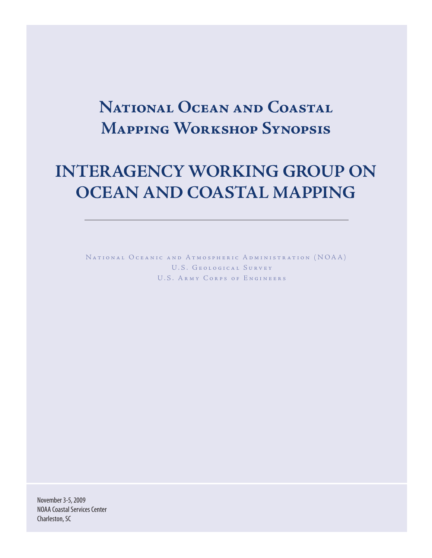# **National Ocean and Coastal Mapping Workshop Synopsis**

# **INTERAGENCY WORKING GROUP ON OCEAN AND COASTAL MAPPING**

NATIONAL OCEANIC AND ATMOSPHERIC ADMINISTRATION (NOAA) U.S. GEOLOGICAL SURVEY U.S. ARMY CORPS OF ENGINEERS

November 3-5, 2009 NOAA Coastal Services Center Charleston, SC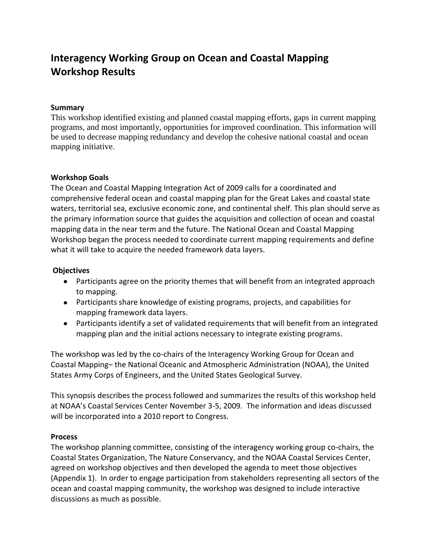# **Interagency Working Group on Ocean and Coastal Mapping Workshop Results**

#### **Summary**

This workshop identified existing and planned coastal mapping efforts, gaps in current mapping programs, and most importantly, opportunities for improved coordination. This information will be used to decrease mapping redundancy and develop the cohesive national coastal and ocean mapping initiative.

#### **Workshop Goals**

The Ocean and Coastal Mapping Integration Act of 2009 calls for a coordinated and comprehensive federal ocean and coastal mapping plan for the Great Lakes and coastal state waters, territorial sea, exclusive economic zone, and continental shelf. This plan should serve as the primary information source that guides the acquisition and collection of ocean and coastal mapping data in the near term and the future. The National Ocean and Coastal Mapping Workshop began the process needed to coordinate current mapping requirements and define what it will take to acquire the needed framework data layers.

#### **Objectives**

- Participants agree on the priority themes that will benefit from an integrated approach to mapping.
- Participants share knowledge of existing programs, projects, and capabilities for mapping framework data layers.
- Participants identify a set of validated requirements that will benefit from an integrated mapping plan and the initial actions necessary to integrate existing programs.

The workshop was led by the co-chairs of the Interagency Working Group for Ocean and Coastal Mapping– the National Oceanic and Atmospheric Administration (NOAA), the United States Army Corps of Engineers, and the United States Geological Survey.

This synopsis describes the process followed and summarizes the results of this workshop held at NOAA's Coastal Services Center November 3-5, 2009. The information and ideas discussed will be incorporated into a 2010 report to Congress.

#### **Process**

The workshop planning committee, consisting of the interagency working group co-chairs, the Coastal States Organization, The Nature Conservancy, and the NOAA Coastal Services Center, agreed on workshop objectives and then developed the agenda to meet those objectives (Appendix 1). In order to engage participation from stakeholders representing all sectors of the ocean and coastal mapping community, the workshop was designed to include interactive discussions as much as possible.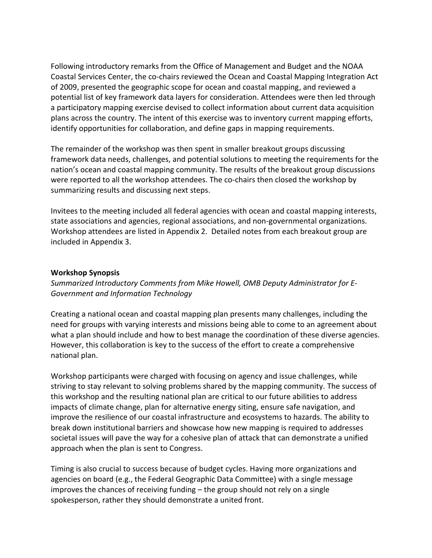Following introductory remarks from the Office of Management and Budget and the NOAA Coastal Services Center, the co-chairs reviewed the Ocean and Coastal Mapping Integration Act of 2009, presented the geographic scope for ocean and coastal mapping, and reviewed a potential list of key framework data layers for consideration. Attendees were then led through a participatory mapping exercise devised to collect information about current data acquisition plans across the country. The intent of this exercise was to inventory current mapping efforts, identify opportunities for collaboration, and define gaps in mapping requirements.

The remainder of the workshop was then spent in smaller breakout groups discussing framework data needs, challenges, and potential solutions to meeting the requirements for the nation's ocean and coastal mapping community. The results of the breakout group discussions were reported to all the workshop attendees. The co-chairs then closed the workshop by summarizing results and discussing next steps.

Invitees to the meeting included all federal agencies with ocean and coastal mapping interests, state associations and agencies, regional associations, and non-governmental organizations. Workshop attendees are listed in Appendix 2. Detailed notes from each breakout group are included in Appendix 3.

#### **Workshop Synopsis**

*Summarized Introductory Comments from Mike Howell, OMB Deputy Administrator for E-Government and Information Technology*

Creating a national ocean and coastal mapping plan presents many challenges, including the need for groups with varying interests and missions being able to come to an agreement about what a plan should include and how to best manage the coordination of these diverse agencies. However, this collaboration is key to the success of the effort to create a comprehensive national plan.

Workshop participants were charged with focusing on agency and issue challenges, while striving to stay relevant to solving problems shared by the mapping community. The success of this workshop and the resulting national plan are critical to our future abilities to address impacts of climate change, plan for alternative energy siting, ensure safe navigation, and improve the resilience of our coastal infrastructure and ecosystems to hazards. The ability to break down institutional barriers and showcase how new mapping is required to addresses societal issues will pave the way for a cohesive plan of attack that can demonstrate a unified approach when the plan is sent to Congress.

Timing is also crucial to success because of budget cycles. Having more organizations and agencies on board (e.g., the Federal Geographic Data Committee) with a single message improves the chances of receiving funding – the group should not rely on a single spokesperson, rather they should demonstrate a united front.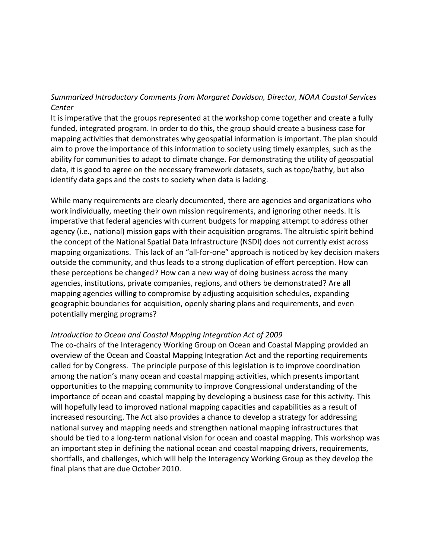# *Summarized Introductory Comments from Margaret Davidson, Director, NOAA Coastal Services Center*

It is imperative that the groups represented at the workshop come together and create a fully funded, integrated program. In order to do this, the group should create a business case for mapping activities that demonstrates why geospatial information is important. The plan should aim to prove the importance of this information to society using timely examples, such as the ability for communities to adapt to climate change. For demonstrating the utility of geospatial data, it is good to agree on the necessary framework datasets, such as topo/bathy, but also identify data gaps and the costs to society when data is lacking.

While many requirements are clearly documented, there are agencies and organizations who work individually, meeting their own mission requirements, and ignoring other needs. It is imperative that federal agencies with current budgets for mapping attempt to address other agency (i.e., national) mission gaps with their acquisition programs. The altruistic spirit behind the concept of the National Spatial Data Infrastructure (NSDI) does not currently exist across mapping organizations. This lack of an "all-for-one" approach is noticed by key decision makers outside the community, and thus leads to a strong duplication of effort perception. How can these perceptions be changed? How can a new way of doing business across the many agencies, institutions, private companies, regions, and others be demonstrated? Are all mapping agencies willing to compromise by adjusting acquisition schedules, expanding geographic boundaries for acquisition, openly sharing plans and requirements, and even potentially merging programs?

#### *Introduction to Ocean and Coastal Mapping Integration Act of 2009*

The co-chairs of the Interagency Working Group on Ocean and Coastal Mapping provided an overview of the Ocean and Coastal Mapping Integration Act and the reporting requirements called for by Congress. The principle purpose of this legislation is to improve coordination among the nation's many ocean and coastal mapping activities, which presents important opportunities to the mapping community to improve Congressional understanding of the importance of ocean and coastal mapping by developing a business case for this activity. This will hopefully lead to improved national mapping capacities and capabilities as a result of increased resourcing. The Act also provides a chance to develop a strategy for addressing national survey and mapping needs and strengthen national mapping infrastructures that should be tied to a long-term national vision for ocean and coastal mapping. This workshop was an important step in defining the national ocean and coastal mapping drivers, requirements, shortfalls, and challenges, which will help the Interagency Working Group as they develop the final plans that are due October 2010.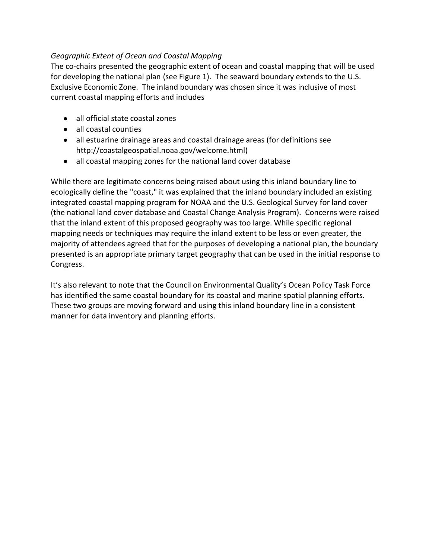# *Geographic Extent of Ocean and Coastal Mapping*

The co-chairs presented the geographic extent of ocean and coastal mapping that will be used for developing the national plan (see Figure 1). The seaward boundary extends to the U.S. Exclusive Economic Zone. The inland boundary was chosen since it was inclusive of most current coastal mapping efforts and includes

- all official state coastal zones
- all coastal counties
- all estuarine drainage areas and coastal drainage areas (for definitions see http://coastalgeospatial.noaa.gov/welcome.html)
- all coastal mapping zones for the national land cover database

While there are legitimate concerns being raised about using this inland boundary line to ecologically define the "coast," it was explained that the inland boundary included an existing integrated coastal mapping program for NOAA and the U.S. Geological Survey for land cover (the national land cover database and Coastal Change Analysis Program). Concerns were raised that the inland extent of this proposed geography was too large. While specific regional mapping needs or techniques may require the inland extent to be less or even greater, the majority of attendees agreed that for the purposes of developing a national plan, the boundary presented is an appropriate primary target geography that can be used in the initial response to Congress.

It's also relevant to note that the Council on Environmental Quality's Ocean Policy Task Force has identified the same coastal boundary for its coastal and marine spatial planning efforts. These two groups are moving forward and using this inland boundary line in a consistent manner for data inventory and planning efforts.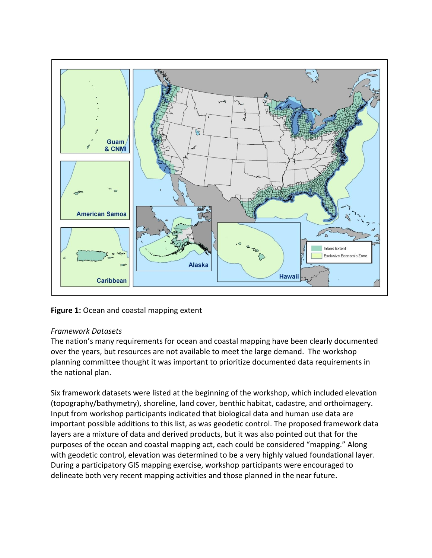

Figure 1: Ocean and coastal mapping extent

# *Framework Datasets*

The nation's many requirements for ocean and coastal mapping have been clearly documented over the years, but resources are not available to meet the large demand. The workshop planning committee thought it was important to prioritize documented data requirements in the national plan.

Six framework datasets were listed at the beginning of the workshop, which included elevation (topography/bathymetry), shoreline, land cover, benthic habitat, cadastre, and orthoimagery. Input from workshop participants indicated that biological data and human use data are important possible additions to this list, as was geodetic control. The proposed framework data layers are a mixture of data and derived products, but it was also pointed out that for the purposes of the ocean and coastal mapping act, each could be considered "mapping." Along with geodetic control, elevation was determined to be a very highly valued foundational layer. During a participatory GIS mapping exercise, workshop participants were encouraged to delineate both very recent mapping activities and those planned in the near future.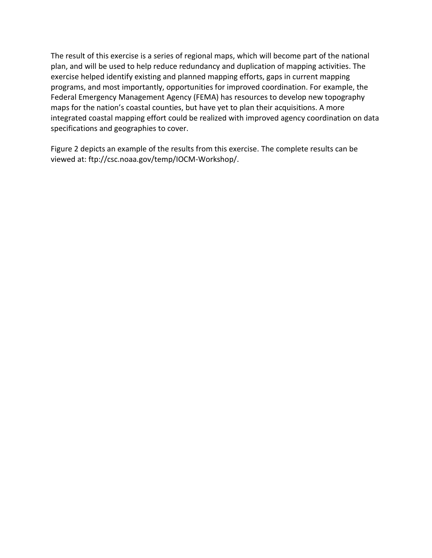The result of this exercise is a series of regional maps, which will become part of the national plan, and will be used to help reduce redundancy and duplication of mapping activities. The exercise helped identify existing and planned mapping efforts, gaps in current mapping programs, and most importantly, opportunities for improved coordination. For example, the Federal Emergency Management Agency (FEMA) has resources to develop new topography maps for the nation's coastal counties, but have yet to plan their acquisitions. A more integrated coastal mapping effort could be realized with improved agency coordination on data specifications and geographies to cover.

Figure 2 depicts an example of the results from this exercise. The complete results can be viewed at: ftp://csc.noaa.gov/temp/IOCM-Workshop/.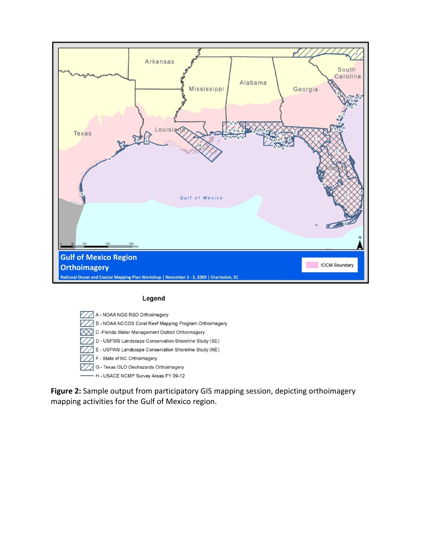

#### Legend

A - NOAA NGS RSD Orthoimagery B - NOAA NCCOS Coral Reef Mapping Program Orthoimagery C-Florida Water Management District Orthoimagery D - USFWS Landscape Conservation Shoreline Study (SE) E - USFWS Landscape Conservation Shoreline Study (NE) F - State of NC Orthoimagery G - Texas GLO Geohazards Orthoimagery - H - USACE NCMP Survey Areas FY 09-12

**Figure 2:** Sample output from participatory GIS mapping session, depicting orthoimagery mapping activities for the Gulf of Mexico region.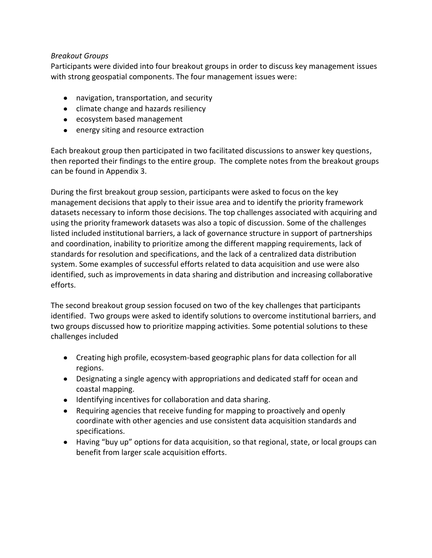## *Breakout Groups*

Participants were divided into four breakout groups in order to discuss key management issues with strong geospatial components. The four management issues were:

- navigation, transportation, and security
- climate change and hazards resiliency
- ecosystem based management
- energy siting and resource extraction

Each breakout group then participated in two facilitated discussions to answer key questions, then reported their findings to the entire group. The complete notes from the breakout groups can be found in Appendix 3.

During the first breakout group session, participants were asked to focus on the key management decisions that apply to their issue area and to identify the priority framework datasets necessary to inform those decisions. The top challenges associated with acquiring and using the priority framework datasets was also a topic of discussion. Some of the challenges listed included institutional barriers, a lack of governance structure in support of partnerships and coordination, inability to prioritize among the different mapping requirements, lack of standards for resolution and specifications, and the lack of a centralized data distribution system. Some examples of successful efforts related to data acquisition and use were also identified, such as improvements in data sharing and distribution and increasing collaborative efforts.

The second breakout group session focused on two of the key challenges that participants identified. Two groups were asked to identify solutions to overcome institutional barriers, and two groups discussed how to prioritize mapping activities. Some potential solutions to these challenges included

- Creating high profile, ecosystem-based geographic plans for data collection for all regions.
- Designating a single agency with appropriations and dedicated staff for ocean and coastal mapping.
- Identifying incentives for collaboration and data sharing.
- Requiring agencies that receive funding for mapping to proactively and openly coordinate with other agencies and use consistent data acquisition standards and specifications.
- Having "buy up" options for data acquisition, so that regional, state, or local groups can benefit from larger scale acquisition efforts.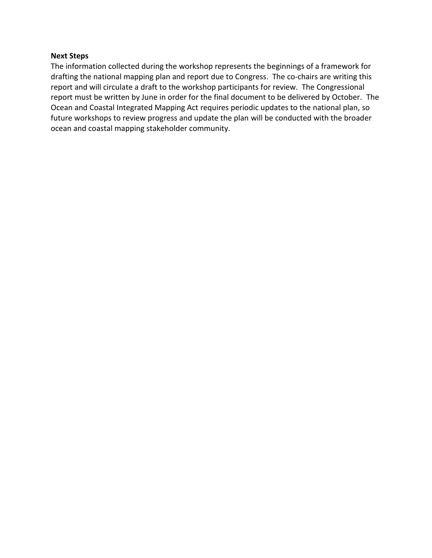#### **Next Steps**

The information collected during the workshop represents the beginnings of a framework for drafting the national mapping plan and report due to Congress. The co-chairs are writing this report and will circulate a draft to the workshop participants for review. The Congressional report must be written by June in order for the final document to be delivered by October. The Ocean and Coastal Integrated Mapping Act requires periodic updates to the national plan, so future workshops to review progress and update the plan will be conducted with the broader ocean and coastal mapping stakeholder community.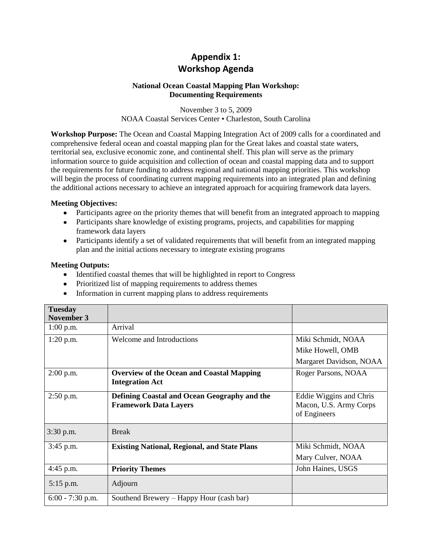# **Appendix 1: Workshop Agenda**

#### **National Ocean Coastal Mapping Plan Workshop: Documenting Requirements**

November 3 to 5, 2009 NOAA Coastal Services Center • Charleston, South Carolina

**Workshop Purpose:** The Ocean and Coastal Mapping Integration Act of 2009 calls for a coordinated and comprehensive federal ocean and coastal mapping plan for the Great lakes and coastal state waters, territorial sea, exclusive economic zone, and continental shelf. This plan will serve as the primary information source to guide acquisition and collection of ocean and coastal mapping data and to support the requirements for future funding to address regional and national mapping priorities. This workshop will begin the process of coordinating current mapping requirements into an integrated plan and defining the additional actions necessary to achieve an integrated approach for acquiring framework data layers.

#### **Meeting Objectives:**

- Participants agree on the priority themes that will benefit from an integrated approach to mapping
- Participants share knowledge of existing programs, projects, and capabilities for mapping framework data layers
- Participants identify a set of validated requirements that will benefit from an integrated mapping plan and the initial actions necessary to integrate existing programs

#### **Meeting Outputs:**

- Identified coastal themes that will be highlighted in report to Congress
- Prioritized list of mapping requirements to address themes
- Information in current mapping plans to address requirements

| <b>Tuesday</b>    |                                                                              |                                                                   |
|-------------------|------------------------------------------------------------------------------|-------------------------------------------------------------------|
| <b>November 3</b> |                                                                              |                                                                   |
| $1:00$ p.m.       | Arrival                                                                      |                                                                   |
| $1:20$ p.m.       | Welcome and Introductions                                                    | Miki Schmidt, NOAA                                                |
|                   |                                                                              | Mike Howell, OMB                                                  |
|                   |                                                                              | Margaret Davidson, NOAA                                           |
| 2:00 p.m.         | <b>Overview of the Ocean and Coastal Mapping</b><br><b>Integration Act</b>   | Roger Parsons, NOAA                                               |
| $2:50$ p.m.       | Defining Coastal and Ocean Geography and the<br><b>Framework Data Layers</b> | Eddie Wiggins and Chris<br>Macon, U.S. Army Corps<br>of Engineers |
| 3:30 p.m.         | <b>Break</b>                                                                 |                                                                   |
| 3:45 p.m.         | <b>Existing National, Regional, and State Plans</b>                          | Miki Schmidt, NOAA                                                |
|                   |                                                                              | Mary Culver, NOAA                                                 |
| 4:45 p.m.         | <b>Priority Themes</b>                                                       | John Haines, USGS                                                 |
| 5:15 p.m.         | Adjourn                                                                      |                                                                   |
| 6:00 - 7:30 p.m.  | Southend Brewery – Happy Hour (cash bar)                                     |                                                                   |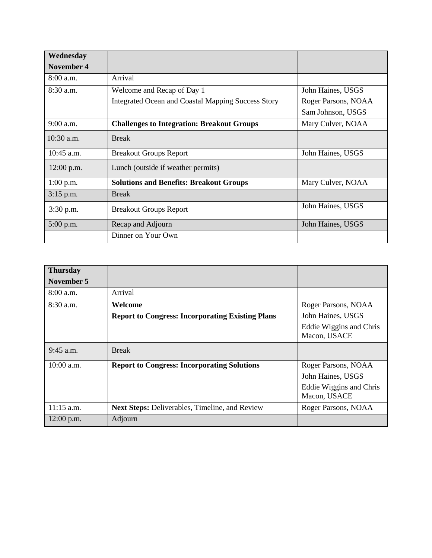| Wednesday         |                                                    |                     |
|-------------------|----------------------------------------------------|---------------------|
| <b>November 4</b> |                                                    |                     |
| $8:00$ a.m.       | Arrival                                            |                     |
| $8:30$ a.m.       | Welcome and Recap of Day 1                         | John Haines, USGS   |
|                   | Integrated Ocean and Coastal Mapping Success Story | Roger Parsons, NOAA |
|                   |                                                    | Sam Johnson, USGS   |
| $9:00$ a.m.       | <b>Challenges to Integration: Breakout Groups</b>  | Mary Culver, NOAA   |
| $10:30$ a.m.      | <b>Break</b>                                       |                     |
| $10:45$ a.m.      | <b>Breakout Groups Report</b>                      | John Haines, USGS   |
| $12:00$ p.m.      | Lunch (outside if weather permits)                 |                     |
| $1:00$ p.m.       | <b>Solutions and Benefits: Breakout Groups</b>     | Mary Culver, NOAA   |
| $3:15$ p.m.       | <b>Break</b>                                       |                     |
| 3:30 p.m.         | <b>Breakout Groups Report</b>                      | John Haines, USGS   |
| $5:00$ p.m.       | Recap and Adjourn                                  | John Haines, USGS   |
|                   | Dinner on Your Own                                 |                     |

| <b>Thursday</b> |                                                         |                                         |
|-----------------|---------------------------------------------------------|-----------------------------------------|
| November 5      |                                                         |                                         |
| $8:00$ a.m.     | Arrival                                                 |                                         |
| $8:30$ a.m.     | Welcome                                                 | Roger Parsons, NOAA                     |
|                 | <b>Report to Congress: Incorporating Existing Plans</b> | John Haines, USGS                       |
|                 |                                                         | Eddie Wiggins and Chris<br>Macon, USACE |
| $9:45$ a.m.     | <b>Break</b>                                            |                                         |
| 10:00 a.m.      | <b>Report to Congress: Incorporating Solutions</b>      | Roger Parsons, NOAA                     |
|                 |                                                         | John Haines, USGS                       |
|                 |                                                         | Eddie Wiggins and Chris<br>Macon, USACE |
| $11:15$ a.m.    | <b>Next Steps: Deliverables, Timeline, and Review</b>   | Roger Parsons, NOAA                     |
| 12:00 p.m.      | Adjourn                                                 |                                         |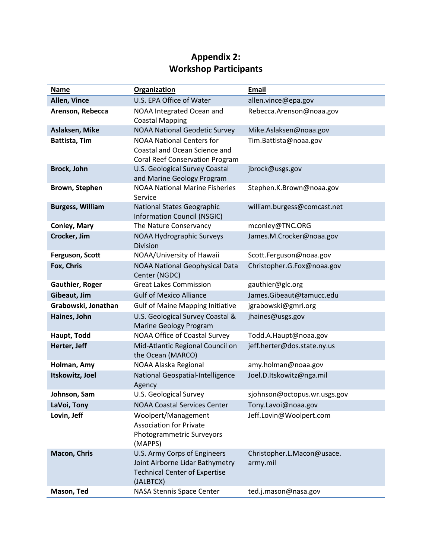# **Appendix 2: Workshop Participants**

| <b>Name</b>             | <b>Organization</b>                                                                                                  | Email                                  |
|-------------------------|----------------------------------------------------------------------------------------------------------------------|----------------------------------------|
| Allen, Vince            | U.S. EPA Office of Water                                                                                             | allen.vince@epa.gov                    |
| Arenson, Rebecca        | NOAA Integrated Ocean and<br><b>Coastal Mapping</b>                                                                  | Rebecca.Arenson@noaa.gov               |
| Aslaksen, Mike          | <b>NOAA National Geodetic Survey</b>                                                                                 | Mike.Aslaksen@noaa.gov                 |
| <b>Battista, Tim</b>    | <b>NOAA National Centers for</b><br>Coastal and Ocean Science and<br><b>Coral Reef Conservation Program</b>          | Tim.Battista@noaa.gov                  |
| Brock, John             | U.S. Geological Survey Coastal<br>and Marine Geology Program                                                         | jbrock@usgs.gov                        |
| Brown, Stephen          | <b>NOAA National Marine Fisheries</b><br>Service                                                                     | Stephen.K.Brown@noaa.gov               |
| <b>Burgess, William</b> | <b>National States Geographic</b><br><b>Information Council (NSGIC)</b>                                              | william.burgess@comcast.net            |
| <b>Conley, Mary</b>     | The Nature Conservancy                                                                                               | mconley@TNC.ORG                        |
| Crocker, Jim            | <b>NOAA Hydrographic Surveys</b><br><b>Division</b>                                                                  | James.M.Crocker@noaa.gov               |
| Ferguson, Scott         | NOAA/University of Hawaii                                                                                            | Scott.Ferguson@noaa.gov                |
| Fox, Chris              | <b>NOAA National Geophysical Data</b><br>Center (NGDC)                                                               | Christopher.G.Fox@noaa.gov             |
| <b>Gauthier, Roger</b>  | <b>Great Lakes Commission</b>                                                                                        | gauthier@glc.org                       |
| Gibeaut, Jim            | <b>Gulf of Mexico Alliance</b>                                                                                       | James.Gibeaut@tamucc.edu               |
| Grabowski, Jonathan     | <b>Gulf of Maine Mapping Initiative</b>                                                                              | jgrabowski@gmri.org                    |
| Haines, John            | U.S. Geological Survey Coastal &<br>Marine Geology Program                                                           | jhaines@usgs.gov                       |
| Haupt, Todd             | NOAA Office of Coastal Survey                                                                                        | Todd.A.Haupt@noaa.gov                  |
| Herter, Jeff            | Mid-Atlantic Regional Council on<br>the Ocean (MARCO)                                                                | jeff.herter@dos.state.ny.us            |
| Holman, Amy             | NOAA Alaska Regional                                                                                                 | amy.holman@noaa.gov                    |
| Itskowitz, Joel         | National Geospatial-Intelligence<br>Agency                                                                           | Joel.D.Itskowitz@nga.mil               |
| Johnson, Sam            | U.S. Geological Survey                                                                                               | sjohnson@octopus.wr.usgs.gov           |
| LaVoi, Tony             | <b>NOAA Coastal Services Center</b>                                                                                  | Tony.Lavoi@noaa.gov                    |
| Lovin, Jeff             | Woolpert/Management<br><b>Association for Private</b><br>Photogrammetric Surveyors<br>(MAPPS)                        | Jeff.Lovin@Woolpert.com                |
| Macon, Chris            | U.S. Army Corps of Engineers<br>Joint Airborne Lidar Bathymetry<br><b>Technical Center of Expertise</b><br>(JALBTCX) | Christopher.L.Macon@usace.<br>army.mil |
| Mason, Ted              | NASA Stennis Space Center                                                                                            | ted.j.mason@nasa.gov                   |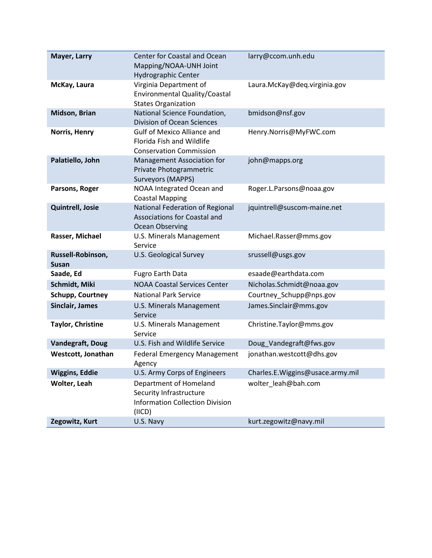| Mayer, Larry                      | Center for Coastal and Ocean<br>Mapping/NOAA-UNH Joint<br>Hydrographic Center                         | larry@ccom.unh.edu               |
|-----------------------------------|-------------------------------------------------------------------------------------------------------|----------------------------------|
| McKay, Laura                      | Virginia Department of<br>Environmental Quality/Coastal<br><b>States Organization</b>                 | Laura.McKay@deq.virginia.gov     |
| Midson, Brian                     | National Science Foundation,<br><b>Division of Ocean Sciences</b>                                     | bmidson@nsf.gov                  |
| Norris, Henry                     | <b>Gulf of Mexico Alliance and</b><br>Florida Fish and Wildlife<br><b>Conservation Commission</b>     | Henry.Norris@MyFWC.com           |
| Palatiello, John                  | Management Association for<br>Private Photogrammetric<br>Surveyors (MAPPS)                            | john@mapps.org                   |
| Parsons, Roger                    | NOAA Integrated Ocean and<br><b>Coastal Mapping</b>                                                   | Roger.L.Parsons@noaa.gov         |
| <b>Quintrell, Josie</b>           | National Federation of Regional<br><b>Associations for Coastal and</b><br><b>Ocean Observing</b>      | jquintrell@suscom-maine.net      |
| Rasser, Michael                   | U.S. Minerals Management<br>Service                                                                   | Michael.Rasser@mms.gov           |
| Russell-Robinson,<br><b>Susan</b> | <b>U.S. Geological Survey</b>                                                                         | srussell@usgs.gov                |
| Saade, Ed                         | <b>Fugro Earth Data</b>                                                                               | esaade@earthdata.com             |
| Schmidt, Miki                     | <b>NOAA Coastal Services Center</b>                                                                   | Nicholas.Schmidt@noaa.gov        |
| <b>Schupp, Courtney</b>           | <b>National Park Service</b>                                                                          | Courtney_Schupp@nps.gov          |
| Sinclair, James                   | U.S. Minerals Management<br>Service                                                                   | James.Sinclair@mms.gov           |
| <b>Taylor, Christine</b>          | U.S. Minerals Management<br>Service                                                                   | Christine.Taylor@mms.gov         |
| <b>Vandegraft, Doug</b>           | U.S. Fish and Wildlife Service                                                                        | Doug_Vandegraft@fws.gov          |
| Westcott, Jonathan                | <b>Federal Emergency Management</b><br>Agency                                                         | jonathan.westcott@dhs.gov        |
| <b>Wiggins, Eddie</b>             | U.S. Army Corps of Engineers                                                                          | Charles.E.Wiggins@usace.army.mil |
| Wolter, Leah                      | Department of Homeland<br>Security Infrastructure<br><b>Information Collection Division</b><br>(IICD) | wolter leah@bah.com              |
| Zegowitz, Kurt                    | U.S. Navy                                                                                             | kurt.zegowitz@navy.mil           |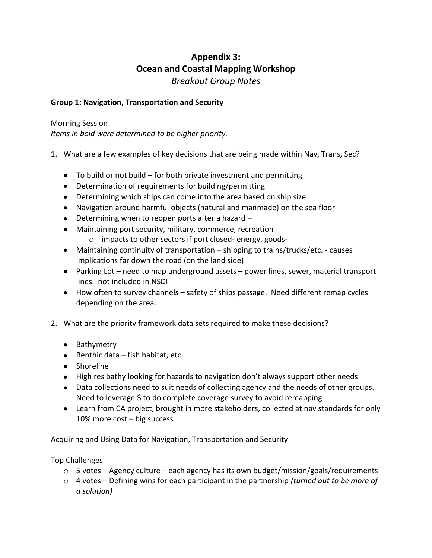# **Appendix 3: Ocean and Coastal Mapping Workshop** *Breakout Group Notes*

# **Group 1: Navigation, Transportation and Security**

## Morning Session

*Items in bold were determined to be higher priority.*

- 1. What are a few examples of key decisions that are being made within Nav, Trans, Sec?
	- To build or not build for both private investment and permitting
	- Determination of requirements for building/permitting
	- Determining which ships can come into the area based on ship size
	- Navigation around harmful objects (natural and manmade) on the sea floor
	- Determining when to reopen ports after a hazard –
	- Maintaining port security, military, commerce, recreation
		- o impacts to other sectors if port closed- energy, goods-
	- Maintaining continuity of transportation shipping to trains/trucks/etc. causes implications far down the road (on the land side)
	- Parking Lot need to map underground assets power lines, sewer, material transport lines. not included in NSDI
	- How often to survey channels safety of ships passage. Need different remap cycles depending on the area.
- 2. What are the priority framework data sets required to make these decisions?
	- Bathymetry
	- $\bullet$  Benthic data fish habitat, etc.
	- Shoreline
	- High res bathy looking for hazards to navigation don't always support other needs
	- Data collections need to suit needs of collecting agency and the needs of other groups. Need to leverage \$ to do complete coverage survey to avoid remapping
	- Learn from CA project, brought in more stakeholders, collected at nav standards for only 10% more cost – big success

Acquiring and Using Data for Navigation, Transportation and Security

Top Challenges

- $\circ$  5 votes Agency culture each agency has its own budget/mission/goals/requirements
- o 4 votes Defining wins for each participant in the partnership *(turned out to be more of a solution)*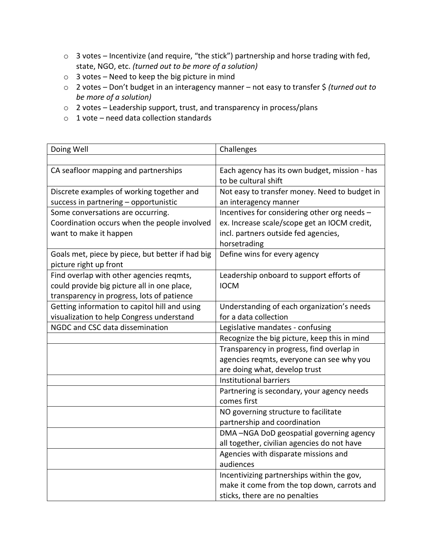- o 3 votes Incentivize (and require, "the stick") partnership and horse trading with fed, state, NGO, etc. *(turned out to be more of a solution)*
- $\circ$  3 votes Need to keep the big picture in mind
- o 2 votes Don't budget in an interagency manner not easy to transfer \$ *(turned out to be more of a solution)*
- o 2 votes Leadership support, trust, and transparency in process/plans
- $\circ$  1 vote need data collection standards

| Doing Well                                       | Challenges                                    |
|--------------------------------------------------|-----------------------------------------------|
|                                                  |                                               |
| CA seafloor mapping and partnerships             | Each agency has its own budget, mission - has |
|                                                  | to be cultural shift                          |
| Discrete examples of working together and        | Not easy to transfer money. Need to budget in |
| success in partnering - opportunistic            | an interagency manner                         |
| Some conversations are occurring.                | Incentives for considering other org needs -  |
| Coordination occurs when the people involved     | ex. Increase scale/scope get an IOCM credit,  |
| want to make it happen                           | incl. partners outside fed agencies,          |
|                                                  | horsetrading                                  |
| Goals met, piece by piece, but better if had big | Define wins for every agency                  |
| picture right up front                           |                                               |
| Find overlap with other agencies reqmts,         | Leadership onboard to support efforts of      |
| could provide big picture all in one place,      | <b>IOCM</b>                                   |
| transparency in progress, lots of patience       |                                               |
| Getting information to capitol hill and using    | Understanding of each organization's needs    |
| visualization to help Congress understand        | for a data collection                         |
| NGDC and CSC data dissemination                  | Legislative mandates - confusing              |
|                                                  | Recognize the big picture, keep this in mind  |
|                                                  | Transparency in progress, find overlap in     |
|                                                  | agencies reqmts, everyone can see why you     |
|                                                  | are doing what, develop trust                 |
|                                                  | Institutional barriers                        |
|                                                  | Partnering is secondary, your agency needs    |
|                                                  | comes first                                   |
|                                                  | NO governing structure to facilitate          |
|                                                  | partnership and coordination                  |
|                                                  | DMA-NGA DoD geospatial governing agency       |
|                                                  | all together, civilian agencies do not have   |
|                                                  | Agencies with disparate missions and          |
|                                                  | audiences                                     |
|                                                  | Incentivizing partnerships within the gov,    |
|                                                  | make it come from the top down, carrots and   |
|                                                  | sticks, there are no penalties                |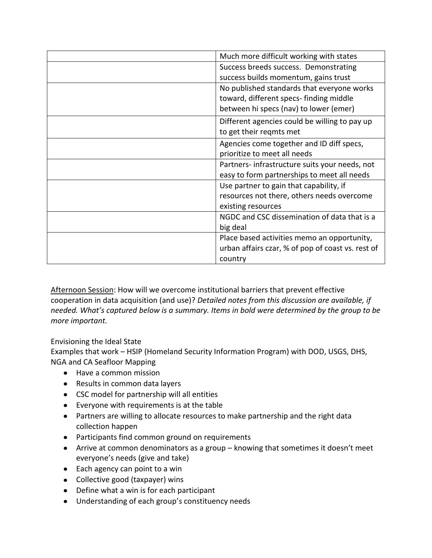| Much more difficult working with states           |
|---------------------------------------------------|
| Success breeds success. Demonstrating             |
| success builds momentum, gains trust              |
| No published standards that everyone works        |
| toward, different specs-finding middle            |
| between hi specs (nav) to lower (emer)            |
| Different agencies could be willing to pay up     |
| to get their regmts met                           |
| Agencies come together and ID diff specs,         |
| prioritize to meet all needs                      |
| Partners-infrastructure suits your needs, not     |
| easy to form partnerships to meet all needs       |
| Use partner to gain that capability, if           |
| resources not there, others needs overcome        |
| existing resources                                |
| NGDC and CSC dissemination of data that is a      |
| big deal                                          |
| Place based activities memo an opportunity,       |
| urban affairs czar, % of pop of coast vs. rest of |
| country                                           |

Afternoon Session: How will we overcome institutional barriers that prevent effective cooperation in data acquisition (and use)? *Detailed notes from this discussion are available, if needed. What's captured below is a summary. Items in bold were determined by the group to be more important.*

Envisioning the Ideal State Examples that work – HSIP (Homeland Security Information Program) with DOD, USGS, DHS, NGA and CA Seafloor Mapping

- Have a common mission
- Results in common data layers
- CSC model for partnership will all entities
- Everyone with requirements is at the table
- Partners are willing to allocate resources to make partnership and the right data collection happen
- Participants find common ground on requirements
- Arrive at common denominators as a group knowing that sometimes it doesn't meet everyone's needs (give and take)
- Each agency can point to a win
- Collective good (taxpayer) wins
- Define what a win is for each participant
- Understanding of each group's constituency needs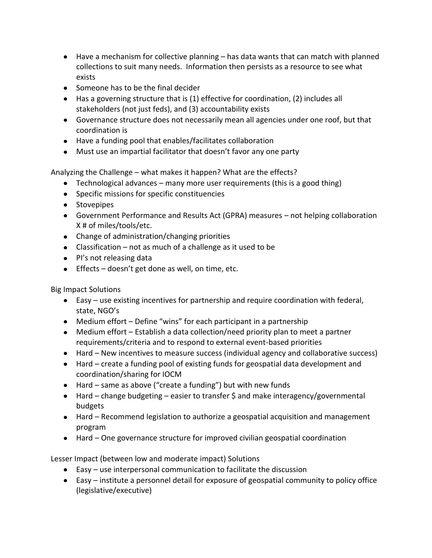- Have a mechanism for collective planning has data wants that can match with planned collections to suit many needs. Information then persists as a resource to see what exists
- Someone has to be the final decider
- Has a governing structure that is (1) effective for coordination, (2) includes all stakeholders (not just feds), and (3) accountability exists
- Governance structure does not necessarily mean all agencies under one roof, but that coordination is
- Have a funding pool that enables/facilitates collaboration
- Must use an impartial facilitator that doesn't favor any one party

Analyzing the Challenge – what makes it happen? What are the effects?

- **•** Technological advances many more user requirements (this is a good thing)
- Specific missions for specific constituencies
- Stovepipes
- Government Performance and Results Act (GPRA) measures not helping collaboration X # of miles/tools/etc.
- Change of administration/changing priorities
- Classification not as much of a challenge as it used to be
- PI's not releasing data
- $\bullet$  Effects doesn't get done as well, on time, etc.

Big Impact Solutions

- Easy use existing incentives for partnership and require coordination with federal, state, NGO's
- Medium effort Define "wins" for each participant in a partnership
- Medium effort Establish a data collection/need priority plan to meet a partner requirements/criteria and to respond to external event-based priorities
- Hard New incentives to measure success (individual agency and collaborative success)
- Hard create a funding pool of existing funds for geospatial data development and coordination/sharing for IOCM
- Hard same as above ("create a funding") but with new funds
- Hard change budgeting easier to transfer \$ and make interagency/governmental budgets
- Hard Recommend legislation to authorize a geospatial acquisition and management program
- Hard One governance structure for improved civilian geospatial coordination

Lesser Impact (between low and moderate impact) Solutions

- Easy use interpersonal communication to facilitate the discussion
- Easy institute a personnel detail for exposure of geospatial community to policy office (legislative/executive)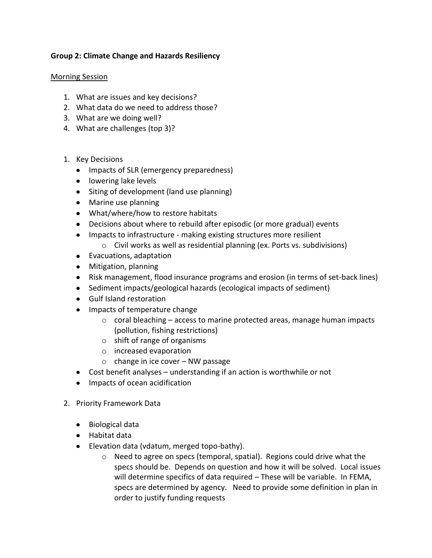# **Group 2: Climate Change and Hazards Resiliency**

#### Morning Session

- 1. What are issues and key decisions?
- 2. What data do we need to address those?
- 3. What are we doing well?
- 4. What are challenges (top 3)?
- 1. Key Decisions
	- Impacts of SLR (emergency preparedness)
	- lowering lake levels
	- Siting of development (land use planning)
	- Marine use planning
	- What/where/how to restore habitats
	- Decisions about where to rebuild after episodic (or more gradual) events
	- Impacts to infrastructure making existing structures more resilient
		- o Civil works as well as residential planning (ex. Ports vs. subdivisions)
	- Evacuations, adaptation
	- Mitigation, planning
	- Risk management, flood insurance programs and erosion (in terms of set-back lines)
	- Sediment impacts/geological hazards (ecological impacts of sediment)
	- Gulf Island restoration
	- Impacts of temperature change
		- $\circ$  coral bleaching access to marine protected areas, manage human impacts (pollution, fishing restrictions)
		- o shift of range of organisms
		- o increased evaporation
		- $\circ$  change in ice cover NW passage
	- Cost benefit analyses understanding if an action is worthwhile or not
	- Impacts of ocean acidification
- 2. Priority Framework Data
	- Biological data
	- Habitat data
	- Elevation data (vdatum, merged topo-bathy).
		- o Need to agree on specs (temporal, spatial). Regions could drive what the specs should be. Depends on question and how it will be solved. Local issues will determine specifics of data required – These will be variable. In FEMA, specs are determined by agency. Need to provide some definition in plan in order to justify funding requests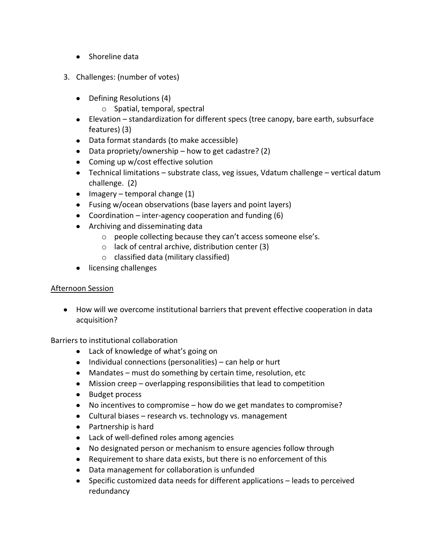- Shoreline data
- 3. Challenges: (number of votes)
	- Defining Resolutions (4)
		- o Spatial, temporal, spectral
	- Elevation standardization for different specs (tree canopy, bare earth, subsurface features) (3)
	- Data format standards (to make accessible)
	- Data propriety/ownership how to get cadastre? (2)
	- Coming up w/cost effective solution
	- Technical limitations substrate class, veg issues, Vdatum challenge vertical datum challenge. (2)
	- $\bullet$  Imagery temporal change (1)
	- Fusing w/ocean observations (base layers and point layers)
	- Coordination inter-agency cooperation and funding (6)
	- Archiving and disseminating data
		- o people collecting because they can't access someone else's.
		- o lack of central archive, distribution center (3)
		- o classified data (military classified)
	- licensing challenges

# Afternoon Session

How will we overcome institutional barriers that prevent effective cooperation in data acquisition?

Barriers to institutional collaboration

- Lack of knowledge of what's going on
- $\bullet$  Individual connections (personalities) can help or hurt
- Mandates must do something by certain time, resolution, etc
- Mission creep overlapping responsibilities that lead to competition
- Budget process
- No incentives to compromise how do we get mandates to compromise?
- Cultural biases research vs. technology vs. management
- Partnership is hard
- Lack of well-defined roles among agencies
- No designated person or mechanism to ensure agencies follow through
- Requirement to share data exists, but there is no enforcement of this
- Data management for collaboration is unfunded
- Specific customized data needs for different applications leads to perceived redundancy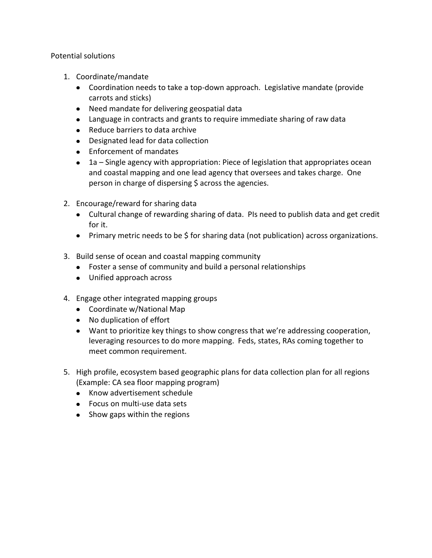Potential solutions

- 1. Coordinate/mandate
	- Coordination needs to take a top-down approach. Legislative mandate (provide carrots and sticks)
	- Need mandate for delivering geospatial data
	- Language in contracts and grants to require immediate sharing of raw data
	- Reduce barriers to data archive
	- Designated lead for data collection
	- Enforcement of mandates
	- 1a Single agency with appropriation: Piece of legislation that appropriates ocean and coastal mapping and one lead agency that oversees and takes charge. One person in charge of dispersing \$ across the agencies.
- 2. Encourage/reward for sharing data
	- Cultural change of rewarding sharing of data. PIs need to publish data and get credit for it.
	- Primary metric needs to be \$ for sharing data (not publication) across organizations.
- 3. Build sense of ocean and coastal mapping community
	- Foster a sense of community and build a personal relationships
	- Unified approach across
- 4. Engage other integrated mapping groups
	- Coordinate w/National Map
	- No duplication of effort
	- Want to prioritize key things to show congress that we're addressing cooperation, leveraging resources to do more mapping. Feds, states, RAs coming together to meet common requirement.
- 5. High profile, ecosystem based geographic plans for data collection plan for all regions (Example: CA sea floor mapping program)
	- Know advertisement schedule
	- Focus on multi-use data sets
	- Show gaps within the regions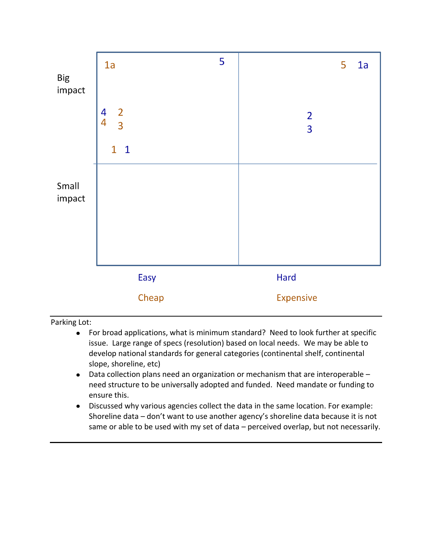

Parking Lot:

- For broad applications, what is minimum standard? Need to look further at specific  $\bullet$ issue. Large range of specs (resolution) based on local needs. We may be able to develop national standards for general categories (continental shelf, continental slope, shoreline, etc)
- Data collection plans need an organization or mechanism that are interoperable need structure to be universally adopted and funded. Need mandate or funding to ensure this.
- Discussed why various agencies collect the data in the same location. For example: Shoreline data – don't want to use another agency's shoreline data because it is not same or able to be used with my set of data – perceived overlap, but not necessarily.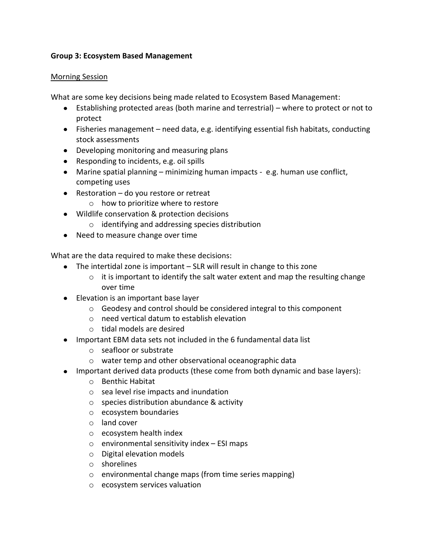## **Group 3: Ecosystem Based Management**

#### Morning Session

What are some key decisions being made related to Ecosystem Based Management:

- Establishing protected areas (both marine and terrestrial) where to protect or not to protect
- Fisheries management need data, e.g. identifying essential fish habitats, conducting stock assessments
- Developing monitoring and measuring plans
- Responding to incidents, e.g. oil spills
- Marine spatial planning minimizing human impacts e.g. human use conflict, competing uses
- Restoration do you restore or retreat
	- o how to prioritize where to restore
- Wildlife conservation & protection decisions
	- o identifying and addressing species distribution
- Need to measure change over time

What are the data required to make these decisions:

- The intertidal zone is important SLR will result in change to this zone
	- $\circ$  it is important to identify the salt water extent and map the resulting change over time
- Elevation is an important base layer
	- $\circ$  Geodesy and control should be considered integral to this component
	- o need vertical datum to establish elevation
	- o tidal models are desired
- Important EBM data sets not included in the 6 fundamental data list
	- o seafloor or substrate
	- o water temp and other observational oceanographic data
- Important derived data products (these come from both dynamic and base layers):
	- o Benthic Habitat
	- o sea level rise impacts and inundation
	- o species distribution abundance & activity
	- o ecosystem boundaries
	- o land cover
	- o ecosystem health index
	- $\circ$  environmental sensitivity index ESI maps
	- o Digital elevation models
	- o shorelines
	- o environmental change maps (from time series mapping)
	- o ecosystem services valuation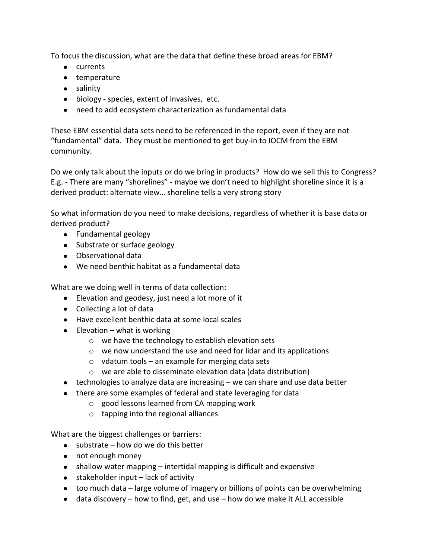To focus the discussion, what are the data that define these broad areas for EBM?

- currents
- temperature
- salinity
- biology species, extent of invasives, etc.
- need to add ecosystem characterization as fundamental data

These EBM essential data sets need to be referenced in the report, even if they are not "fundamental" data. They must be mentioned to get buy-in to IOCM from the EBM community.

Do we only talk about the inputs or do we bring in products? How do we sell this to Congress? E.g. - There are many "shorelines" - maybe we don't need to highlight shoreline since it is a derived product: alternate view… shoreline tells a very strong story

So what information do you need to make decisions, regardless of whether it is base data or derived product?

- Fundamental geology
- Substrate or surface geology
- Observational data
- We need benthic habitat as a fundamental data

What are we doing well in terms of data collection:

- Elevation and geodesy, just need a lot more of it
- Collecting a lot of data
- Have excellent benthic data at some local scales
- $\bullet$  Elevation what is working
	- o we have the technology to establish elevation sets
	- o we now understand the use and need for lidar and its applications
	- $\circ$  vdatum tools an example for merging data sets
	- o we are able to disseminate elevation data (data distribution)
- technologies to analyze data are increasing we can share and use data better
- there are some examples of federal and state leveraging for data
	- o good lessons learned from CA mapping work
	- o tapping into the regional alliances

What are the biggest challenges or barriers:

- $\bullet$  substrate how do we do this better
- not enough money
- shallow water mapping intertidal mapping is difficult and expensive
- $\bullet$  stakeholder input lack of activity
- too much data large volume of imagery or billions of points can be overwhelming
- $\bullet$  data discovery how to find, get, and use how do we make it ALL accessible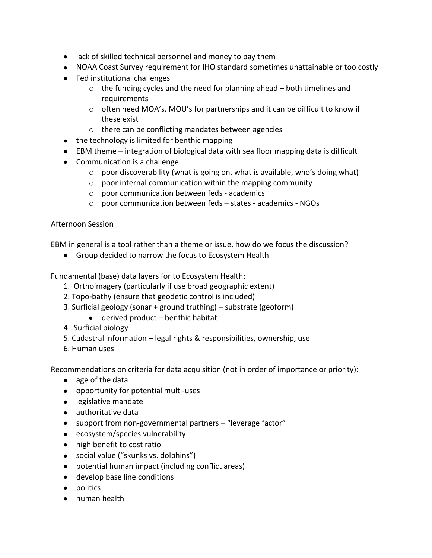- lack of skilled technical personnel and money to pay them
- NOAA Coast Survey requirement for IHO standard sometimes unattainable or too costly
- Fed institutional challenges
	- $\circ$  the funding cycles and the need for planning ahead both timelines and **requirements**
	- $\circ$  often need MOA's, MOU's for partnerships and it can be difficult to know if these exist
	- o there can be conflicting mandates between agencies
- the technology is limited for benthic mapping
- EBM theme integration of biological data with sea floor mapping data is difficult
- Communication is a challenge
	- $\circ$  poor discoverability (what is going on, what is available, who's doing what)
	- o poor internal communication within the mapping community
	- o poor communication between feds academics
	- o poor communication between feds states academics NGOs

## Afternoon Session

EBM in general is a tool rather than a theme or issue, how do we focus the discussion?

Group decided to narrow the focus to Ecosystem Health

Fundamental (base) data layers for to Ecosystem Health:

- 1. Orthoimagery (particularly if use broad geographic extent)
- 2. Topo-bathy (ensure that geodetic control is included)
- 3. Surficial geology (sonar + ground truthing) substrate (geoform)
	- derived product benthic habitat
- 4. Surficial biology
- 5. Cadastral information legal rights & responsibilities, ownership, use
- 6. Human uses

Recommendations on criteria for data acquisition (not in order of importance or priority):

- age of the data
- opportunity for potential multi-uses
- legislative mandate
- authoritative data
- support from non-governmental partners "leverage factor"
- ecosystem/species vulnerability
- high benefit to cost ratio
- social value ("skunks vs. dolphins")
- potential human impact (including conflict areas)
- develop base line conditions
- politics
- human health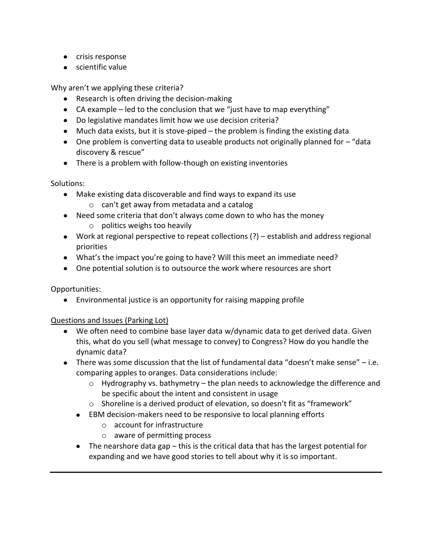- crisis response
- scientific value

Why aren't we applying these criteria?

- Research is often driving the decision-making
- CA example led to the conclusion that we "just have to map everything"
- Do legislative mandates limit how we use decision criteria?
- Much data exists, but it is stove-piped the problem is finding the existing data
- One problem is converting data to useable products not originally planned for "data discovery & rescue"
- There is a problem with follow-though on existing inventories

Solutions:

- Make existing data discoverable and find ways to expand its use
	- o can't get away from metadata and a catalog
- Need some criteria that don't always come down to who has the money
	- o politics weighs too heavily
- Work at regional perspective to repeat collections (?) establish and address regional priorities
- What's the impact you're going to have? Will this meet an immediate need?
- One potential solution is to outsource the work where resources are short

Opportunities:

Environmental justice is an opportunity for raising mapping profile

# Questions and Issues (Parking Lot)

- We often need to combine base layer data w/dynamic data to get derived data. Given this, what do you sell (what message to convey) to Congress? How do you handle the dynamic data?
- There was some discussion that the list of fundamental data "doesn't make sense" i.e. comparing apples to oranges. Data considerations include:
	- o Hydrography vs. bathymetry the plan needs to acknowledge the difference and be specific about the intent and consistent in usage
	- o Shoreline is a derived product of elevation, so doesn't fit as "framework"
	- EBM decision-makers need to be responsive to local planning efforts
		- o account for infrastructure
		- o aware of permitting process
	- The nearshore data gap this is the critical data that has the largest potential for expanding and we have good stories to tell about why it is so important.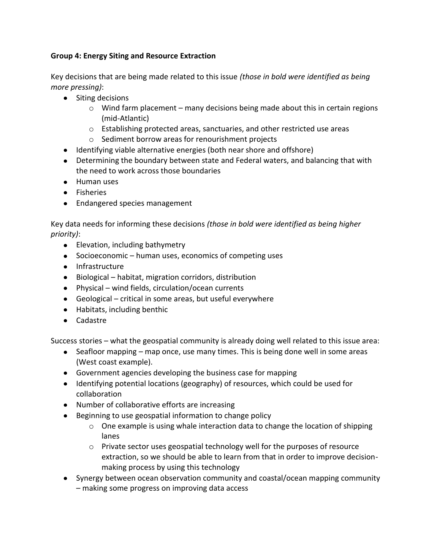# **Group 4: Energy Siting and Resource Extraction**

Key decisions that are being made related to this issue *(those in bold were identified as being more pressing)*:

- Siting decisions
	- o Wind farm placement many decisions being made about this in certain regions (mid-Atlantic)
	- o Establishing protected areas, sanctuaries, and other restricted use areas
	- o Sediment borrow areas for renourishment projects
- Identifying viable alternative energies (both near shore and offshore)
- Determining the boundary between state and Federal waters, and balancing that with the need to work across those boundaries
- Human uses
- **•** Fisheries
- Endangered species management

Key data needs for informing these decisions *(those in bold were identified as being higher priority)*:

- Elevation, including bathymetry
- Socioeconomic human uses, economics of competing uses
- Infrastructure
- Biological habitat, migration corridors, distribution
- Physical wind fields, circulation/ocean currents
- Geological critical in some areas, but useful everywhere
- Habitats, including benthic
- Cadastre

Success stories – what the geospatial community is already doing well related to this issue area:

- Seafloor mapping map once, use many times. This is being done well in some areas (West coast example).
- Government agencies developing the business case for mapping
- Identifying potential locations (geography) of resources, which could be used for collaboration
- Number of collaborative efforts are increasing
- Beginning to use geospatial information to change policy
	- o One example is using whale interaction data to change the location of shipping lanes
	- $\circ$  Private sector uses geospatial technology well for the purposes of resource extraction, so we should be able to learn from that in order to improve decisionmaking process by using this technology
- Synergy between ocean observation community and coastal/ocean mapping community – making some progress on improving data access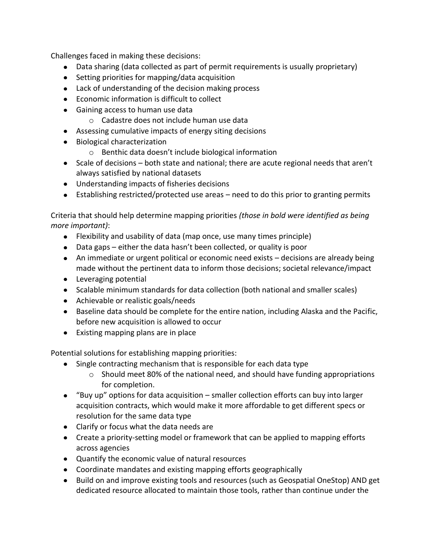Challenges faced in making these decisions:

- Data sharing (data collected as part of permit requirements is usually proprietary)
- Setting priorities for mapping/data acquisition
- Lack of understanding of the decision making process
- Economic information is difficult to collect
- Gaining access to human use data
	- o Cadastre does not include human use data
- Assessing cumulative impacts of energy siting decisions
- Biological characterization
	- o Benthic data doesn't include biological information
- Scale of decisions both state and national; there are acute regional needs that aren't always satisfied by national datasets
- Understanding impacts of fisheries decisions
- Establishing restricted/protected use areas need to do this prior to granting permits

Criteria that should help determine mapping priorities *(those in bold were identified as being more important)*:

- Flexibility and usability of data (map once, use many times principle)
- Data gaps either the data hasn't been collected, or quality is poor
- An immediate or urgent political or economic need exists decisions are already being made without the pertinent data to inform those decisions; societal relevance/impact
- **•** Leveraging potential
- Scalable minimum standards for data collection (both national and smaller scales)
- Achievable or realistic goals/needs
- Baseline data should be complete for the entire nation, including Alaska and the Pacific, before new acquisition is allowed to occur
- Existing mapping plans are in place

Potential solutions for establishing mapping priorities:

- Single contracting mechanism that is responsible for each data type
	- $\circ$  Should meet 80% of the national need, and should have funding appropriations for completion.
- "Buy up" options for data acquisition smaller collection efforts can buy into larger acquisition contracts, which would make it more affordable to get different specs or resolution for the same data type
- Clarify or focus what the data needs are
- Create a priority-setting model or framework that can be applied to mapping efforts across agencies
- Quantify the economic value of natural resources
- Coordinate mandates and existing mapping efforts geographically
- Build on and improve existing tools and resources (such as Geospatial OneStop) AND get dedicated resource allocated to maintain those tools, rather than continue under the